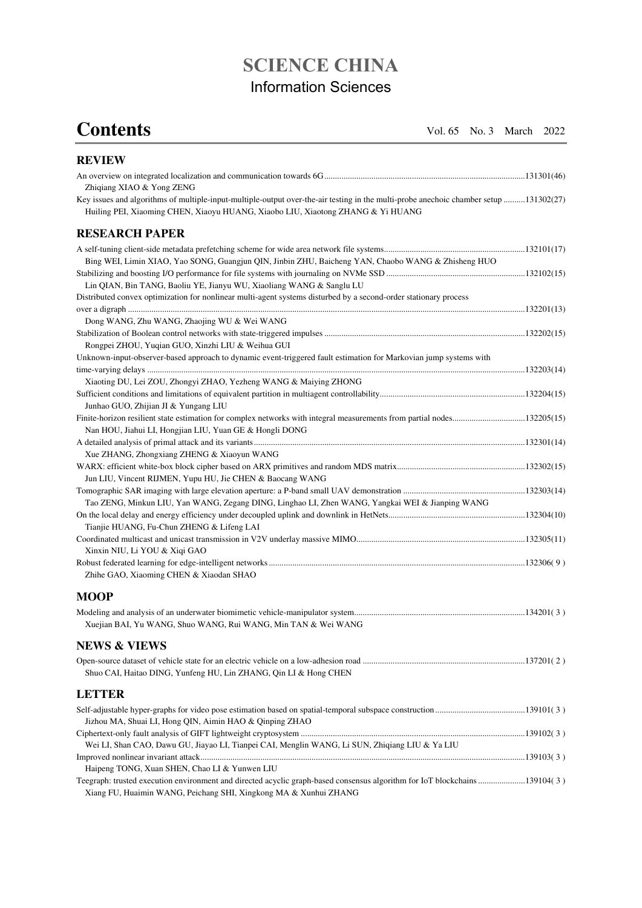## **SCIENCE CHINA**  Information Sciences

**Contents Vol. 65 No. 3 March 2022** 

| <b>REVIEW</b>                                                                                                                                                                                                            |  |
|--------------------------------------------------------------------------------------------------------------------------------------------------------------------------------------------------------------------------|--|
| Zhiqiang XIAO & Yong ZENG                                                                                                                                                                                                |  |
| Key issues and algorithms of multiple-input-multiple-output over-the-air testing in the multi-probe anechoic chamber setup 131302(27)<br>Huiling PEI, Xiaoming CHEN, Xiaoyu HUANG, Xiaobo LIU, Xiaotong ZHANG & Yi HUANG |  |
| <b>RESEARCH PAPER</b>                                                                                                                                                                                                    |  |
|                                                                                                                                                                                                                          |  |
| Bing WEI, Limin XIAO, Yao SONG, Guangjun QIN, Jinbin ZHU, Baicheng YAN, Chaobo WANG & Zhisheng HUO                                                                                                                       |  |
|                                                                                                                                                                                                                          |  |
| Lin QIAN, Bin TANG, Baoliu YE, Jianyu WU, Xiaoliang WANG & Sanglu LU                                                                                                                                                     |  |
| Distributed convex optimization for nonlinear multi-agent systems disturbed by a second-order stationary process                                                                                                         |  |
|                                                                                                                                                                                                                          |  |
| Dong WANG, Zhu WANG, Zhaojing WU & Wei WANG                                                                                                                                                                              |  |
|                                                                                                                                                                                                                          |  |
| Rongpei ZHOU, Yuqian GUO, Xinzhi LIU & Weihua GUI                                                                                                                                                                        |  |
| Unknown-input-observer-based approach to dynamic event-triggered fault estimation for Markovian jump systems with                                                                                                        |  |
|                                                                                                                                                                                                                          |  |
| Xiaoting DU, Lei ZOU, Zhongyi ZHAO, Yezheng WANG & Maiying ZHONG                                                                                                                                                         |  |
|                                                                                                                                                                                                                          |  |
| Junhao GUO, Zhijian JI & Yungang LIU                                                                                                                                                                                     |  |
|                                                                                                                                                                                                                          |  |
| Nan HOU, Jiahui LI, Hongjian LIU, Yuan GE & Hongli DONG                                                                                                                                                                  |  |
| Xue ZHANG, Zhongxiang ZHENG & Xiaoyun WANG                                                                                                                                                                               |  |
|                                                                                                                                                                                                                          |  |
| Jun LIU, Vincent RIJMEN, Yupu HU, Jie CHEN & Baocang WANG                                                                                                                                                                |  |
|                                                                                                                                                                                                                          |  |
| Tao ZENG, Minkun LIU, Yan WANG, Zegang DING, Linghao LI, Zhen WANG, Yangkai WEI & Jianping WANG                                                                                                                          |  |
|                                                                                                                                                                                                                          |  |
| Tianjie HUANG, Fu-Chun ZHENG & Lifeng LAI                                                                                                                                                                                |  |
|                                                                                                                                                                                                                          |  |
| Xinxin NIU, Li YOU & Xiqi GAO                                                                                                                                                                                            |  |
|                                                                                                                                                                                                                          |  |
| Zhihe GAO, Xiaoming CHEN & Xiaodan SHAO                                                                                                                                                                                  |  |
| <b>MOOP</b>                                                                                                                                                                                                              |  |
|                                                                                                                                                                                                                          |  |
| Xuejian BAI, Yu WANG, Shuo WANG, Rui WANG, Min TAN & Wei WANG                                                                                                                                                            |  |
| <b>NEWS &amp; VIEWS</b>                                                                                                                                                                                                  |  |
|                                                                                                                                                                                                                          |  |
| Shuo CAI, Haitao DING, Yunfeng HU, Lin ZHANG, Qin LI & Hong CHEN                                                                                                                                                         |  |
| <b>LETTER</b>                                                                                                                                                                                                            |  |
|                                                                                                                                                                                                                          |  |
| Jizhou MA, Shuai LI, Hong QIN, Aimin HAO & Qinping ZHAO                                                                                                                                                                  |  |
|                                                                                                                                                                                                                          |  |
| Wei LI, Shan CAO, Dawu GU, Jiayao LI, Tianpei CAI, Menglin WANG, Li SUN, Zhiqiang LIU & Ya LIU                                                                                                                           |  |
|                                                                                                                                                                                                                          |  |
| Haipeng TONG, Xuan SHEN, Chao LI & Yunwen LIU                                                                                                                                                                            |  |
| Teegraph: trusted execution environment and directed acyclic graph-based consensus algorithm for IoT blockchains139104(3)<br>Xiang FU, Huaimin WANG, Peichang SHI, Xingkong MA & Xunhui ZHANG                            |  |